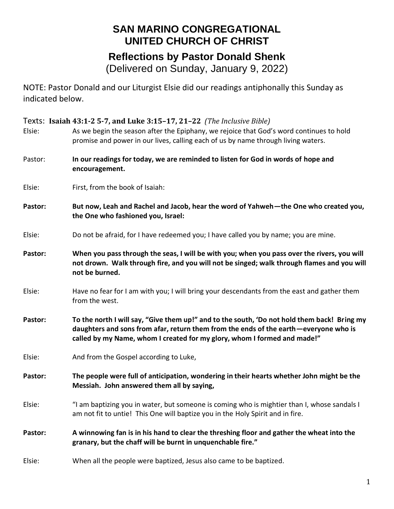## **SAN MARINO CONGREGATIONAL UNITED CHURCH OF CHRIST**

## **Reflections by Pastor Donald Shenk**

(Delivered on Sunday, January 9, 2022)

NOTE: Pastor Donald and our Liturgist Elsie did our readings antiphonally this Sunday as indicated below.

| Elsie:  | Texts: Isaiah 43:1-2 5-7, and Luke 3:15-17, 21-22 (The Inclusive Bible)<br>As we begin the season after the Epiphany, we rejoice that God's word continues to hold<br>promise and power in our lives, calling each of us by name through living waters.         |
|---------|-----------------------------------------------------------------------------------------------------------------------------------------------------------------------------------------------------------------------------------------------------------------|
| Pastor: | In our readings for today, we are reminded to listen for God in words of hope and<br>encouragement.                                                                                                                                                             |
| Elsie:  | First, from the book of Isaiah:                                                                                                                                                                                                                                 |
| Pastor: | But now, Leah and Rachel and Jacob, hear the word of Yahweh-the One who created you,<br>the One who fashioned you, Israel:                                                                                                                                      |
| Elsie:  | Do not be afraid, for I have redeemed you; I have called you by name; you are mine.                                                                                                                                                                             |
| Pastor: | When you pass through the seas, I will be with you; when you pass over the rivers, you will<br>not drown. Walk through fire, and you will not be singed; walk through flames and you will<br>not be burned.                                                     |
| Elsie:  | Have no fear for I am with you; I will bring your descendants from the east and gather them<br>from the west.                                                                                                                                                   |
| Pastor: | To the north I will say, "Give them up!" and to the south, 'Do not hold them back! Bring my<br>daughters and sons from afar, return them from the ends of the earth-everyone who is<br>called by my Name, whom I created for my glory, whom I formed and made!" |
| Elsie:  | And from the Gospel according to Luke,                                                                                                                                                                                                                          |
| Pastor: | The people were full of anticipation, wondering in their hearts whether John might be the<br>Messiah. John answered them all by saying,                                                                                                                         |
| Elsie:  | "I am baptizing you in water, but someone is coming who is mightier than I, whose sandals I<br>am not fit to untie! This One will baptize you in the Holy Spirit and in fire.                                                                                   |
| Pastor: | A winnowing fan is in his hand to clear the threshing floor and gather the wheat into the<br>granary, but the chaff will be burnt in unquenchable fire."                                                                                                        |
| Elsie:  | When all the people were baptized, Jesus also came to be baptized.                                                                                                                                                                                              |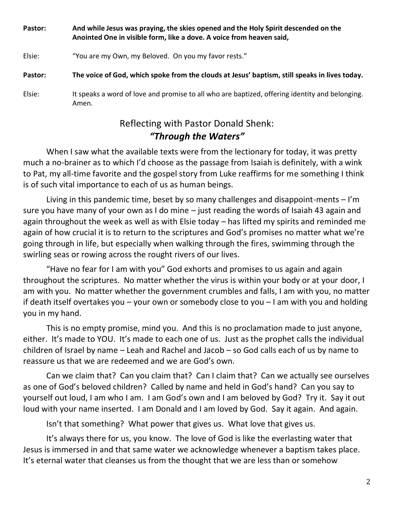| Pastor: | And while Jesus was praying, the skies opened and the Holy Spirit descended on the<br>Anointed One in visible form, like a dove. A voice from heaven said, |
|---------|------------------------------------------------------------------------------------------------------------------------------------------------------------|
| Elsie:  | "You are my Own, my Beloved. On you my favor rests."                                                                                                       |
| Pastor: | The voice of God, which spoke from the clouds at Jesus' baptism, still speaks in lives today.                                                              |
| Elsie:  | It speaks a word of love and promise to all who are baptized, offering identity and belonging.<br>Amen.                                                    |

## Reflecting with Pastor Donald Shenk: *"Through the Waters"*

When I saw what the available texts were from the lectionary for today, it was pretty much a no-brainer as to which I'd choose as the passage from Isaiah is definitely, with a wink to Pat, my all-time favorite and the gospel story from Luke reaffirms for me something I think is of such vital importance to each of us as human beings.

Living in this pandemic time, beset by so many challenges and disappoint-ments – I'm sure you have many of your own as I do mine – just reading the words of Isaiah 43 again and again throughout the week as well as with Elsie today – has lifted my spirits and reminded me again of how crucial it is to return to the scriptures and God's promises no matter what we're going through in life, but especially when walking through the fires, swimming through the swirling seas or rowing across the rought rivers of our lives.

"Have no fear for I am with you" God exhorts and promises to us again and again throughout the scriptures. No matter whether the virus is within your body or at your door, I am with you. No matter whether the government crumbles and falls, I am with you, no matter if death itself overtakes you – your own or somebody close to you – I am with you and holding you in my hand.

This is no empty promise, mind you. And this is no proclamation made to just anyone, either. It's made to YOU. It's made to each one of us. Just as the prophet calls the individual children of Israel by name – Leah and Rachel and Jacob – so God calls each of us by name to reassure us that we are redeemed and we are God's own.

Can we claim that? Can you claim that? Can I claim that? Can we actually see ourselves as one of God's beloved children? Called by name and held in God's hand? Can you say to yourself out loud, I am who I am. I am God's own and I am beloved by God? Try it. Say it out loud with your name inserted. I am Donald and I am loved by God. Say it again. And again.

Isn't that something? What power that gives us. What love that gives us.

It's always there for us, you know. The love of God is like the everlasting water that Jesus is immersed in and that same water we acknowledge whenever a baptism takes place. It's eternal water that cleanses us from the thought that we are less than or somehow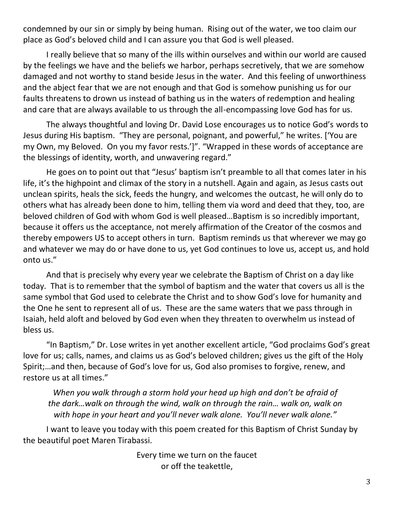condemned by our sin or simply by being human. Rising out of the water, we too claim our place as God's beloved child and I can assure you that God is well pleased.

I really believe that so many of the ills within ourselves and within our world are caused by the feelings we have and the beliefs we harbor, perhaps secretively, that we are somehow damaged and not worthy to stand beside Jesus in the water. And this feeling of unworthiness and the abject fear that we are not enough and that God is somehow punishing us for our faults threatens to drown us instead of bathing us in the waters of redemption and healing and care that are always available to us through the all-encompassing love God has for us.

The always thoughtful and loving Dr. David Lose encourages us to notice God's words to Jesus during His baptism. "They are personal, poignant, and powerful," he writes. ['You are my Own, my Beloved. On you my favor rests.']". "Wrapped in these words of acceptance are the blessings of identity, worth, and unwavering regard."

He goes on to point out that "Jesus' baptism isn't preamble to all that comes later in his life, it's the highpoint and climax of the story in a nutshell. Again and again, as Jesus casts out unclean spirits, heals the sick, feeds the hungry, and welcomes the outcast, he will only do to others what has already been done to him, telling them via word and deed that they, too, are beloved children of God with whom God is well pleased…Baptism is so incredibly important, because it offers us the acceptance, not merely affirmation of the Creator of the cosmos and thereby empowers US to accept others in turn. Baptism reminds us that wherever we may go and whatever we may do or have done to us, yet God continues to love us, accept us, and hold onto us."

And that is precisely why every year we celebrate the Baptism of Christ on a day like today. That is to remember that the symbol of baptism and the water that covers us all is the same symbol that God used to celebrate the Christ and to show God's love for humanity and the One he sent to represent all of us. These are the same waters that we pass through in Isaiah, held aloft and beloved by God even when they threaten to overwhelm us instead of bless us.

"In Baptism," Dr. Lose writes in yet another excellent article, "God proclaims God's great love for us; calls, names, and claims us as God's beloved children; gives us the gift of the Holy Spirit;…and then, because of God's love for us, God also promises to forgive, renew, and restore us at all times."

*When you walk through a storm hold your head up high and don't be afraid of the dark…walk on through the wind, walk on through the rain… walk on, walk on with hope in your heart and you'll never walk alone. You'll never walk alone."*

I want to leave you today with this poem created for this Baptism of Christ Sunday by the beautiful poet Maren Tirabassi.

> Every time we turn on the faucet or off the teakettle,